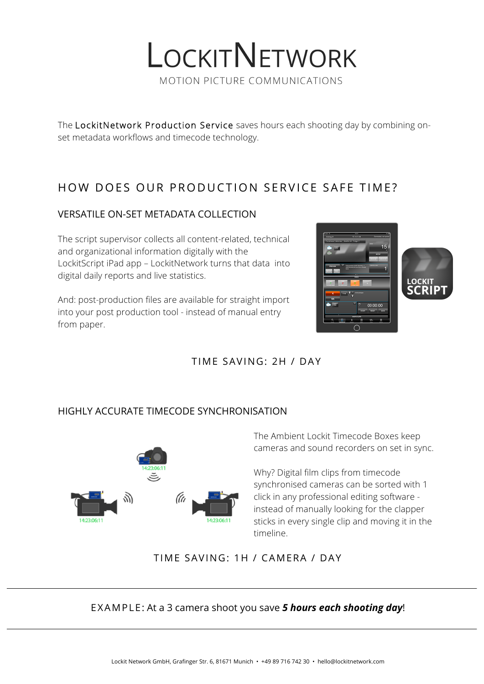

The LockitNetwork Production Service saves hours each shooting day by combining onset metadata workflows and timecode technology.

## HOW DOES OUR PRODUCTION SERVICE SAFE TIME?

## VERSATILE ON-SET METADATA COLLECTION

The script supervisor collects all content-related, technical and organizational information digitally with the LockitScript iPad app – LockitNetwork turns that data into digital daily reports and live statistics.

And: post-production files are available for straight import into your post production tool - instead of manual entry from paper.



## TIME SAVING: 2H / DAY

### HIGHLY ACCURATE TIMECODE SYNCHRONISATION



The Ambient Lockit Timecode Boxes keep cameras and sound recorders on set in sync.

Why? Digital film clips from timecode synchronised cameras can be sorted with 1 click in any professional editing software instead of manually looking for the clapper sticks in every single clip and moving it in the timeline.

## TIME SAVING: 1H / CAMERA / DAY

## EXAMPLE: At a 3 camera shoot you save *5 hours each shooting day*!